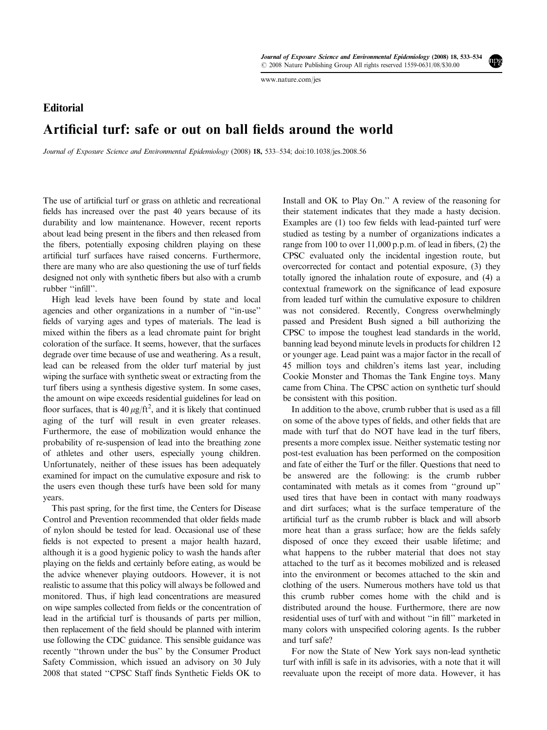[www.nature.com/jes](http://www.nature.com/jes)

## **Editorial** Artificial turf: safe or out on ball fields around the world

Journal of Exposure Science and Environmental Epidemiology (2008) 18, 533–534; doi:[10.1038/jes.2008.56](http://dx.doi.org/10.1038/jes.2008.56)

The use of artificial turf or grass on athletic and recreational fields has increased over the past 40 years because of its durability and low maintenance. However, recent reports about lead being present in the fibers and then released from the fibers, potentially exposing children playing on these artificial turf surfaces have raised concerns. Furthermore, there are many who are also questioning the use of turf fields designed not only with synthetic fibers but also with a crumb rubber ''infill''.

High lead levels have been found by state and local agencies and other organizations in a number of ''in-use'' fields of varying ages and types of materials. The lead is mixed within the fibers as a lead chromate paint for bright coloration of the surface. It seems, however, that the surfaces degrade over time because of use and weathering. As a result, lead can be released from the older turf material by just wiping the surface with synthetic sweat or extracting from the turf fibers using a synthesis digestive system. In some cases, the amount on wipe exceeds residential guidelines for lead on floor surfaces, that is  $40 \mu g / \text{ft}^2$ , and it is likely that continued aging of the turf will result in even greater releases. Furthermore, the ease of mobilization would enhance the probability of re-suspension of lead into the breathing zone of athletes and other users, especially young children. Unfortunately, neither of these issues has been adequately examined for impact on the cumulative exposure and risk to the users even though these turfs have been sold for many years.

This past spring, for the first time, the Centers for Disease Control and Prevention recommended that older fields made of nylon should be tested for lead. Occasional use of these fields is not expected to present a major health hazard, although it is a good hygienic policy to wash the hands after playing on the fields and certainly before eating, as would be the advice whenever playing outdoors. However, it is not realistic to assume that this policy will always be followed and monitored. Thus, if high lead concentrations are measured on wipe samples collected from fields or the concentration of lead in the artificial turf is thousands of parts per million, then replacement of the field should be planned with interim use following the CDC guidance. This sensible guidance was recently ''thrown under the bus'' by the Consumer Product Safety Commission, which issued an advisory on 30 July 2008 that stated ''CPSC Staff finds Synthetic Fields OK to

Install and OK to Play On." A review of the reasoning for their statement indicates that they made a hasty decision. Examples are (1) too few fields with lead-painted turf were studied as testing by a number of organizations indicates a range from 100 to over 11,000 p.p.m. of lead in fibers, (2) the CPSC evaluated only the incidental ingestion route, but overcorrected for contact and potential exposure, (3) they totally ignored the inhalation route of exposure, and (4) a contextual framework on the significance of lead exposure from leaded turf within the cumulative exposure to children was not considered. Recently, Congress overwhelmingly passed and President Bush signed a bill authorizing the CPSC to impose the toughest lead standards in the world, banning lead beyond minute levels in products for children 12 or younger age. Lead paint was a major factor in the recall of 45 million toys and children's items last year, including Cookie Monster and Thomas the Tank Engine toys. Many came from China. The CPSC action on synthetic turf should be consistent with this position.

In addition to the above, crumb rubber that is used as a fill on some of the above types of fields, and other fields that are made with turf that do NOT have lead in the turf fibers, presents a more complex issue. Neither systematic testing nor post-test evaluation has been performed on the composition and fate of either the Turf or the filler. Questions that need to be answered are the following: is the crumb rubber contaminated with metals as it comes from ''ground up'' used tires that have been in contact with many roadways and dirt surfaces; what is the surface temperature of the artificial turf as the crumb rubber is black and will absorb more heat than a grass surface; how are the fields safely disposed of once they exceed their usable lifetime; and what happens to the rubber material that does not stay attached to the turf as it becomes mobilized and is released into the environment or becomes attached to the skin and clothing of the users. Numerous mothers have told us that this crumb rubber comes home with the child and is distributed around the house. Furthermore, there are now residential uses of turf with and without ''in fill'' marketed in many colors with unspecified coloring agents. Is the rubber and turf safe?

For now the State of New York says non-lead synthetic turf with infill is safe in its advisories, with a note that it will reevaluate upon the receipt of more data. However, it has